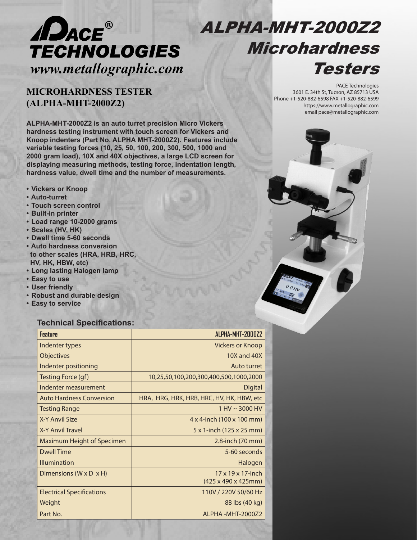

# ALPHA-MHT-2000Z2 Microhardness Testers

# **MICROHARDNESS TESTER (ALPHA-MHT-2000Z2)**

PACE Technologies 3601 E. 34th St, Tucson, AZ 85713 USA Phone +1-520-882-6598 FAX +1-520-882-6599 https://www.metallographic.com email pace@metallographic.com

**ALPHA-MHT-2000Z2 is an auto turret precision Micro Vickers hardness testing instrument with touch screen for Vickers and Knoop indenters (Part No. ALPHA MHT-2000Z2). Features include variable testing forces (10, 25, 50, 100, 200, 300, 500, 1000 and 2000 gram load), 10X and 40X objectives, a large LCD screen for displaying measuring methods, testing force, indentation length, hardness value, dwell time and the number of measurements.** 

- **Vickers or Knoop**
- **Auto-turret**
- **Touch screen control**
- **Built-in printer**
- **Load range 10-2000 grams**
- **Scales (HV, HK)**
- **Dwell time 5-60 seconds**
- **Auto hardness conversion to other scales (HRA, HRB, HRC, HV, HK, HBW, etc)**
- **Long lasting Halogen lamp**
- **Easy to use**
- **User friendly**
- **Robust and durable design**
- **Easy to service**

### **Technical Specifications:**

| <b>Feature</b>                       | ALPHA-MHT-2000Z2                          |
|--------------------------------------|-------------------------------------------|
| Indenter types                       | <b>Vickers or Knoop</b>                   |
| <b>Objectives</b>                    | 10X and 40X                               |
| Indenter positioning                 | Auto turret                               |
| Testing Force (gf)                   | 10,25,50,100,200,300,400,500,1000,2000    |
| Indenter measurement                 | Digital                                   |
| <b>Auto Hardness Conversion</b>      | HRA, HRG, HRK, HRB, HRC, HV, HK, HBW, etc |
| <b>Testing Range</b>                 | $1 HV \sim 3000 HV$                       |
| X-Y Anvil Size                       | $4 \times 4$ -inch (100 x 100 mm)         |
| X-Y Anvil Travel                     | 5 x 1-inch (125 x 25 mm)                  |
| <b>Maximum Height of Specimen</b>    | 2.8-inch (70 mm)                          |
| <b>Dwell Time</b>                    | 5-60 seconds                              |
| Illumination                         | Halogen                                   |
| Dimensions ( $W \times D \times H$ ) | $17 \times 19 \times 17$ -inch            |
|                                      | (425 x 490 x 425mm)                       |
| <b>Electrical Specifications</b>     | 110V / 220V 50/60 Hz                      |
| Weight                               | 88 lbs (40 kg)                            |
| Part No.                             | AI PHA-MHT-200072                         |